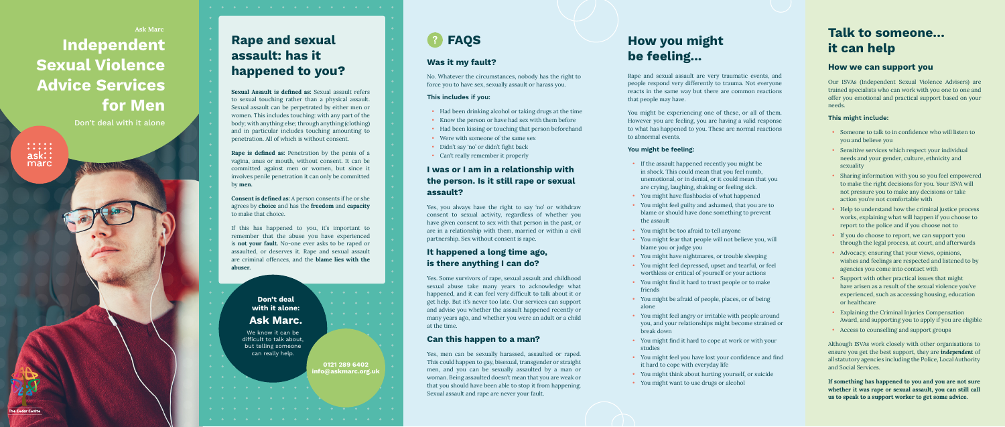# **Independent Sexual Violence Advice Services for Men** Ask Marc

Don't deal with it alone



# **FAQS Was it my fault?**

**I was or I am in a relationship with the person. Is it still rape or sexual** 

**assault?**

**It happened a long time ago, is there anything I can do?**

**Can this happen to a man?**

No. Whatever the circumstances, nobody has the right to force you to have sex, sexually assault or harass you.

Yes, you always have the right to say 'no' or withdraw consent to sexual activity, regardless of whether you have given consent to sex with that person in the past, or are in a relationship with them, married or within a civil

partnership. Sex without consent is rape.

• Were with someone of the same sex<br>• Didn't say 'no' or didn't fight back • Can't really remember it properly

Yes. Some survivors of rape, sexual assault and childhood sexual abuse take many years to acknowledge what happened, and it can feel very difficult to talk about it or get help. But it's never too late. Our services can support and advise you whether the assault happened recently or many years ago, and whether you were an adult or a child

at the time.

Yes, men can be sexually harassed, assaulted or raped. This could happen to gay, bisexual, transgender or straight men, and you can be sexually assaulted by a man or woman. Being assaulted doesn't mean that you are weak or that you should have been able to stop it from happening.

Sexual assault and rape are never your fault.

**This includes if you:**

• Had been drinking alcohol or taking drugs at the time • Know the person or have had sex with them before • Had been kissing or touching that person beforehand

Although ISVAs work closely with other organisations to ensure you get the best support, they are *independent* of all statutory agencies including the Police, Local Authority and Social Services. • Someone to talk to in confidence who will listen to you and believe you<br>
• Sensitive services which respect your individual<br>
needs and your gender, culture, ethnicity and<br>
sexuality<br>
• Sharing information with you so you

### **You might be feeling:**

- you and believe you
- Sensitive services which respect your individual needs and your gender, culture, ethnicity and sexuality
- Sharing information with you so you feel empowered to make the right decisions for you. Your ISVA will not pressure you to make any decisions or take action you're not comfortable with
- Help to understand how the criminal justice process works, explaining what will happen if you choose to report to the police and if you choose not to
- If you do choose to report, we can support you through the legal process, at court, and afterwards
- Advocacy, ensuring that your views, opinions, wishes and feelings are respected and listened to by agencies you come into contact with
- Support with other practical issues that might have arisen as a result of the sexual violence you've experienced, such as accessing housing, education or healthcare
- Explaining the Criminal Injuries Compensation Award, and supporting you to apply if you are eligible
- Access to counselling and support groups
- If the assault happened recently you might be in shock. This could mean that you feel numb, unemotional, or in denial, or it could mean that you are crying, laughing, shaking or feeling sick.
- You might have flashbacks of what happened
- You might feel guilty and ashamed, that you are to blame or should have done something to prevent the assault
- You might be too afraid to tell anyone
- You might fear that people will not believe you, will blame you or judge you
- You might have nightmares, or trouble sleeping
- You might feel depressed, upset and tearful, or feel worthless or critical of yourself or your actions
- You might find it hard to trust people or to make friends
- You might be afraid of people, places, or of being alone
- You might feel angry or irritable with people around you, and your relationships might become strained or break down
- You might find it hard to cope at work or with your studies
- You might feel you have lost your confidence and find it hard to cope with everyday life
- You might think about hurting yourself, or suicide
- You might want to use drugs or alcohol

Rape and sexual assault are very traumatic events, and people respond very differently to trauma. Not everyone reacts in the same way but there are common reactions that people may have.

You might be experiencing one of these, or all of them. However you are feeling, you are having a valid response to what has happened to you. These are normal reactions to abnormal events.

- 
- 
- 
- 

## **How you might be feeling...**

## **Talk to someone… it can help**

### **This might include:**

If something has happened to you and you are not sure whether it was rape or sexual assault, you can still call

Our ISVAs (Independent Sexual Violence Advisers) are trained specialists who can work with you one to one and offer you emotional and practical support based on your needs.

### **How we can support you**

# **Rape and sexual assault: has it happened to you?**

Sexual Assault is defined as: Sexual assault refers to sexual touching rather than a physical assault. Sexual assault can be perpetrated by either men or women. This includes touching: with any part of the body; with anything else; through anything (clothing) and in particular includes touching amounting to penetration. All of which is without consent.

Rape is defined as: Penetration by the penis of a vagina, anus or mouth, without consent. It can be committed against men or women, but since it involves penile penetration it can only be committed by men.

Consent is defined as: A person consents if he or she agrees by choice and has the freedom and capacity to make that choice.

If this has happened to you, it's important to remember that the abuse you have experienced is not your fault. No-one ever asks to be raped or assaulted, or deserves it. Rape and sexual assault are criminal offences, and the blame lies with the abuser.

We know it can be difficult to talk about,

but telling someone can really help.

### **Don't deal with it alone: Ask Marc.**

**0121 289 6402 info@askmarc.org.uk**

**he Cedar Centre**